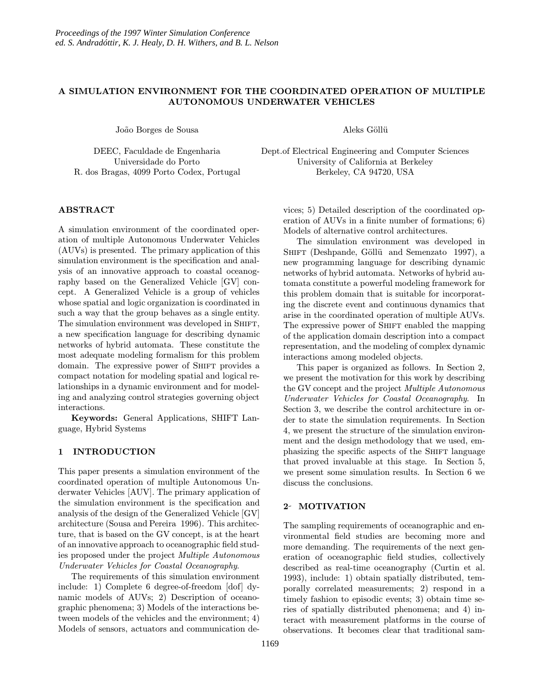# A SIMULATION ENVIRONMENT FOR THE COORDINATED OPERATION OF MULTIPLE AUTONOMOUS UNDERWATER VEHICLES

João Borges de Sousa

DEEC, Faculdade de Engenharia Universidade do Porto R. dos Bragas, 4099 Porto Codex, Portugal

ABSTRACT

A simulation environment of the coordinated operation of multiple Autonomous Underwater Vehicles (AUVs) is presented. The primary application of this simulation environment is the specification and analysis of an innovative approach to coastal oceanography based on the Generalized Vehicle [GV] concept. A Generalized Vehicle is a group of vehicles whose spatial and logic organization is coordinated in such a way that the group behaves as a single entity. The simulation environment was developed in SHIFT, a new specification language for describing dynamic networks of hybrid automata. These constitute the most adequate modeling formalism for this problem domain. The expressive power of SHIFT provides a compact notation for modeling spatial and logical relationships in a dynamic environment and for modeling and analyzing control strategies governing object interactions.

Keywords: General Applications, SHIFT Language, Hybrid Systems

## 1 INTRODUCTION

This paper presents a simulation environment of the coordinated operation of multiple Autonomous Underwater Vehicles [AUV]. The primary application of the simulation environment is the specification and analysis of the design of the Generalized Vehicle [GV] architecture (Sousa and Pereira 1996). This architecture, that is based on the GV concept, is at the heart of an innovative approach to oceanographic field studies proposed under the project Multiple Autonomous Underwater Vehicles for Coastal Oceanography.

The requirements of this simulation environment include: 1) Complete 6 degree-of-freedom [dof] dynamic models of AUVs; 2) Description of oceanographic phenomena; 3) Models of the interactions between models of the vehicles and the environment; 4) Models of sensors, actuators and communication deAleks Göllü

Dept.of Electrical Engineering and Computer Sciences University of California at Berkeley Berkeley, CA 94720, USA

> vices; 5) Detailed description of the coordinated operation of AUVs in a finite number of formations; 6) Models of alternative control architectures.

> The simulation environment was developed in SHIFT (Deshpande, Göllü and Semenzato 1997), a new programming language for describing dynamic networks of hybrid automata. Networks of hybrid automata constitute a powerful modeling framework for this problem domain that is suitable for incorporating the discrete event and continuous dynamics that arise in the coordinated operation of multiple AUVs. The expressive power of SHIFT enabled the mapping of the application domain description into a compact representation, and the modeling of complex dynamic interactions among modeled objects.

> This paper is organized as follows. In Section 2, we present the motivation for this work by describing the GV concept and the project Multiple Autonomous Underwater Vehicles for Coastal Oceanography. In Section 3, we describe the control architecture in order to state the simulation requirements. In Section 4, we present the structure of the simulation environment and the design methodology that we used, emphasizing the specific aspects of the SHIFT language that proved invaluable at this stage. In Section 5, we present some simulation results. In Section 6 we discuss the conclusions.

## 2- MOTIVATION

The sampling requirements of oceanographic and environmental field studies are becoming more and more demanding. The requirements of the next generation of oceanographic field studies, collectively described as real-time oceanography (Curtin et al. 1993), include: 1) obtain spatially distributed, temporally correlated measurements; 2) respond in a timely fashion to episodic events; 3) obtain time series of spatially distributed phenomena; and 4) interact with measurement platforms in the course of observations. It becomes clear that traditional sam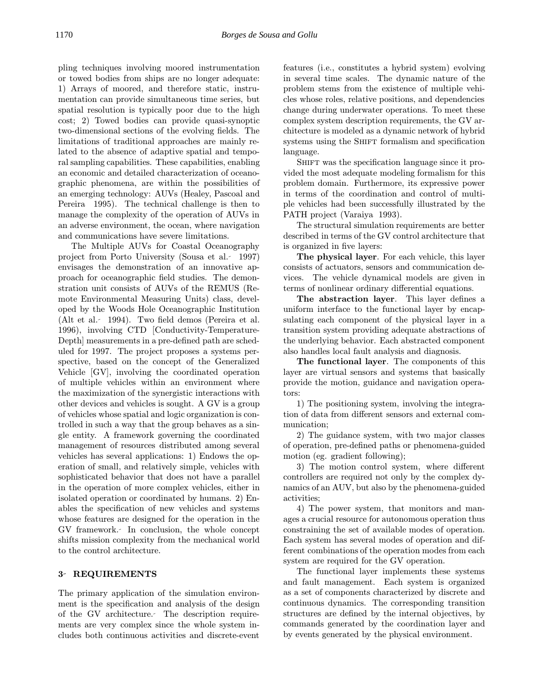pling techniques involving moored instrumentation or towed bodies from ships are no longer adequate: 1) Arrays of moored, and therefore static, instrumentation can provide simultaneous time series, but spatial resolution is typically poor due to the high cost; 2) Towed bodies can provide quasi-synoptic two-dimensional sections of the evolving fields. The limitations of traditional approaches are mainly related to the absence of adaptive spatial and temporal sampling capabilities. These capabilities, enabling an economic and detailed characterization of oceanographic phenomena, are within the possibilities of an emerging technology: AUVs (Healey, Pascoal and Pereira 1995). The technical challenge is then to manage the complexity of the operation of AUVs in an adverse environment, the ocean, where navigation and communications have severe limitations.

The Multiple AUVs for Coastal Oceanography project from Porto University (Sousa et al. 1997) envisages the demonstration of an innovative approach for oceanographic field studies. The demonstration unit consists of AUVs of the REMUS (Remote Environmental Measuring Units) class, developed by the Woods Hole Oceanographic Institution (Alt et al. 1994). Two field demos (Pereira et al. 1996), involving CTD [Conductivity-Temperature-Depth] measurements in a pre-defined path are scheduled for 1997. The project proposes a systems perspective, based on the concept of the Generalized Vehicle [GV], involving the coordinated operation of multiple vehicles within an environment where the maximization of the synergistic interactions with other devices and vehicles is sought. A GV is a group of vehicles whose spatial and logic organization is controlled in such a way that the group behaves as a single entity. A framework governing the coordinated management of resources distributed among several vehicles has several applications: 1) Endows the operation of small, and relatively simple, vehicles with sophisticated behavior that does not have a parallel in the operation of more complex vehicles, either in isolated operation or coordinated by humans. 2) Enables the specification of new vehicles and systems whose features are designed for the operation in the GV framework. In conclusion, the whole concept shifts mission complexity from the mechanical world to the control architecture.

## 3- REQUIREMENTS

The primary application of the simulation environment is the specification and analysis of the design of the GV architecture. The description requirements are very complex since the whole system includes both continuous activities and discrete-event

features (i.e., constitutes a hybrid system) evolving in several time scales. The dynamic nature of the problem stems from the existence of multiple vehicles whose roles, relative positions, and dependencies change during underwater operations. To meet these complex system description requirements, the GV architecture is modeled as a dynamic network of hybrid systems using the SHIFT formalism and specification language.

SHIFT was the specification language since it provided the most adequate modeling formalism for this problem domain. Furthermore, its expressive power in terms of the coordination and control of multiple vehicles had been successfully illustrated by the PATH project (Varaiya 1993).

The structural simulation requirements are better described in terms of the GV control architecture that is organized in five layers:

The physical layer. For each vehicle, this layer consists of actuators, sensors and communication devices. The vehicle dynamical models are given in terms of nonlinear ordinary differential equations.

The abstraction layer. This layer defines a uniform interface to the functional layer by encapsulating each component of the physical layer in a transition system providing adequate abstractions of the underlying behavior. Each abstracted component also handles local fault analysis and diagnosis.

The functional layer. The components of this layer are virtual sensors and systems that basically provide the motion, guidance and navigation operators:

1) The positioning system, involving the integration of data from different sensors and external communication;

2) The guidance system, with two major classes of operation, pre-defined paths or phenomena-guided motion (eg. gradient following);

3) The motion control system, where different controllers are required not only by the complex dynamics of an AUV, but also by the phenomena-guided activities;

4) The power system, that monitors and manages a crucial resource for autonomous operation thus constraining the set of available modes of operation. Each system has several modes of operation and different combinations of the operation modes from each system are required for the GV operation.

The functional layer implements these systems and fault management. Each system is organized as a set of components characterized by discrete and continuous dynamics. The corresponding transition structures are defined by the internal objectives, by commands generated by the coordination layer and by events generated by the physical environment.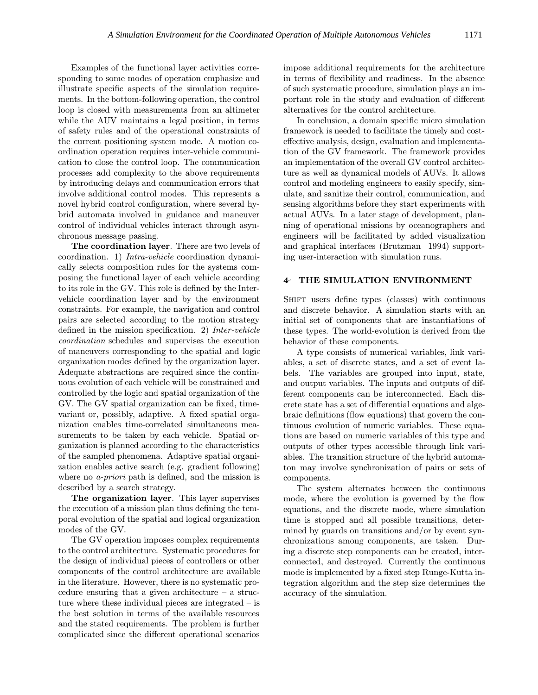Examples of the functional layer activities corresponding to some modes of operation emphasize and illustrate specific aspects of the simulation requirements. In the bottom-following operation, the control loop is closed with measurements from an altimeter while the AUV maintains a legal position, in terms of safety rules and of the operational constraints of the current positioning system mode. A motion coordination operation requires inter-vehicle communication to close the control loop. The communication processes add complexity to the above requirements by introducing delays and communication errors that involve additional control modes. This represents a novel hybrid control configuration, where several hybrid automata involved in guidance and maneuver control of individual vehicles interact through asynchronous message passing.

The coordination layer. There are two levels of coordination. 1) Intra-vehicle coordination dynamically selects composition rules for the systems composing the functional layer of each vehicle according to its role in the GV. This role is defined by the Intervehicle coordination layer and by the environment constraints. For example, the navigation and control pairs are selected according to the motion strategy defined in the mission specification. 2) Inter-vehicle coordination schedules and supervises the execution of maneuvers corresponding to the spatial and logic organization modes defined by the organization layer. Adequate abstractions are required since the continuous evolution of each vehicle will be constrained and controlled by the logic and spatial organization of the GV. The GV spatial organization can be fixed, timevariant or, possibly, adaptive. A fixed spatial organization enables time-correlated simultaneous measurements to be taken by each vehicle. Spatial organization is planned according to the characteristics of the sampled phenomena. Adaptive spatial organization enables active search (e.g. gradient following) where no *a-priori* path is defined, and the mission is described by a search strategy.

The organization layer. This layer supervises the execution of a mission plan thus defining the temporal evolution of the spatial and logical organization modes of the GV.

The GV operation imposes complex requirements to the control architecture. Systematic procedures for the design of individual pieces of controllers or other components of the control architecture are available in the literature. However, there is no systematic procedure ensuring that a given architecture – a structure where these individual pieces are integrated – is the best solution in terms of the available resources and the stated requirements. The problem is further complicated since the different operational scenarios

impose additional requirements for the architecture in terms of flexibility and readiness. In the absence of such systematic procedure, simulation plays an important role in the study and evaluation of different alternatives for the control architecture.

In conclusion, a domain specific micro simulation framework is needed to facilitate the timely and costeffective analysis, design, evaluation and implementation of the GV framework. The framework provides an implementation of the overall GV control architecture as well as dynamical models of AUVs. It allows control and modeling engineers to easily specify, simulate, and sanitize their control, communication, and sensing algorithms before they start experiments with actual AUVs. In a later stage of development, planning of operational missions by oceanographers and engineers will be facilitated by added visualization and graphical interfaces (Brutzman 1994) supporting user-interaction with simulation runs.

### THE SIMULATION ENVIRONMENT

SHIFT users define types (classes) with continuous and discrete behavior. A simulation starts with an initial set of components that are instantiations of these types. The world-evolution is derived from the behavior of these components.

A type consists of numerical variables, link variables, a set of discrete states, and a set of event labels. The variables are grouped into input, state, and output variables. The inputs and outputs of different components can be interconnected. Each discrete state has a set of differential equations and algebraic definitions (flow equations) that govern the continuous evolution of numeric variables. These equations are based on numeric variables of this type and outputs of other types accessible through link variables. The transition structure of the hybrid automaton may involve synchronization of pairs or sets of components.

The system alternates between the continuous mode, where the evolution is governed by the flow equations, and the discrete mode, where simulation time is stopped and all possible transitions, determined by guards on transitions and/or by event synchronizations among components, are taken. During a discrete step components can be created, interconnected, and destroyed. Currently the continuous mode is implemented by a fixed step Runge-Kutta integration algorithm and the step size determines the accuracy of the simulation.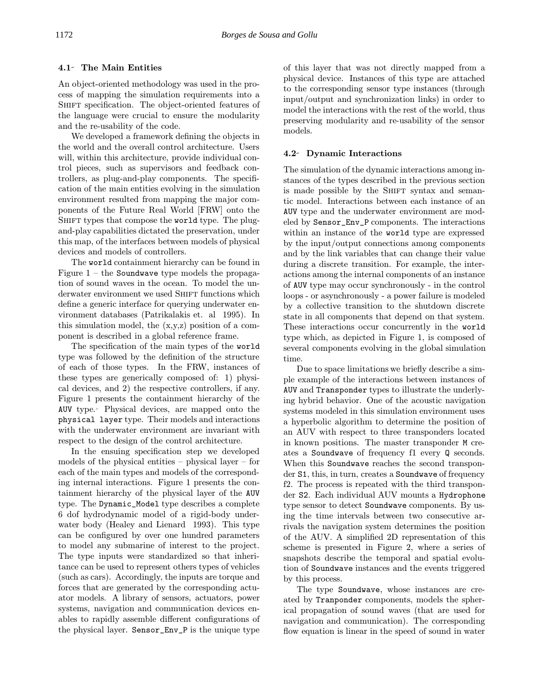## 4.1 The Main Entities

An object-oriented methodology was used in the process of mapping the simulation requirements into a SHIFT specification. The object-oriented features of the language were crucial to ensure the modularity and the re-usability of the code.

We developed a framework defining the objects in the world and the overall control architecture. Users will, within this architecture, provide individual control pieces, such as supervisors and feedback controllers, as plug-and-play components. The specification of the main entities evolving in the simulation environment resulted from mapping the major components of the Future Real World [FRW] onto the SHIFT types that compose the world type. The plugand-play capabilities dictated the preservation, under this map, of the interfaces between models of physical devices and models of controllers.

The world containment hierarchy can be found in Figure  $1$  – the Soundwave type models the propagation of sound waves in the ocean. To model the underwater environment we used SHIFT functions which define a generic interface for querying underwater environment databases (Patrikalakis et. al 1995). In this simulation model, the (x,y,z) position of a component is described in a global reference frame.

The specification of the main types of the world type was followed by the definition of the structure of each of those types. In the FRW, instances of these types are generically composed of: 1) physical devices, and 2) the respective controllers, if any. Figure 1 presents the containment hierarchy of the AUV type. Physical devices, are mapped onto the physical layer type. Their models and interactions with the underwater environment are invariant with respect to the design of the control architecture.

In the ensuing specification step we developed models of the physical entities – physical layer – for each of the main types and models of the corresponding internal interactions. Figure 1 presents the containment hierarchy of the physical layer of the AUV type. The Dynamic\_Model type describes a complete 6 dof hydrodynamic model of a rigid-body underwater body (Healey and Lienard 1993). This type can be configured by over one hundred parameters to model any submarine of interest to the project. The type inputs were standardized so that inheritance can be used to represent others types of vehicles (such as cars). Accordingly, the inputs are torque and forces that are generated by the corresponding actuator models. A library of sensors, actuators, power systems, navigation and communication devices enables to rapidly assemble different configurations of the physical layer. Sensor\_Env\_P is the unique type

of this layer that was not directly mapped from a physical device. Instances of this type are attached to the corresponding sensor type instances (through input/output and synchronization links) in order to model the interactions with the rest of the world, thus preserving modularity and re-usability of the sensor models.

## 4.2 Dynamic Interactions

The simulation of the dynamic interactions among instances of the types described in the previous section is made possible by the SHIFT syntax and semantic model. Interactions between each instance of an AUV type and the underwater environment are modeled by Sensor\_Env\_P components. The interactions within an instance of the world type are expressed by the input/output connections among components and by the link variables that can change their value during a discrete transition. For example, the interactions among the internal components of an instance of AUV type may occur synchronously - in the control loops - or asynchronously - a power failure is modeled by a collective transition to the shutdown discrete state in all components that depend on that system. These interactions occur concurrently in the world type which, as depicted in Figure 1, is composed of several components evolving in the global simulation time.

Due to space limitations we briefly describe a simple example of the interactions between instances of AUV and Transponder types to illustrate the underlying hybrid behavior. One of the acoustic navigation systems modeled in this simulation environment uses a hyperbolic algorithm to determine the position of an AUV with respect to three transponders located in known positions. The master transponder M creates a Soundwave of frequency f1 every Q seconds. When this Soundwave reaches the second transponder S1, this, in turn, creates a Soundwave of frequency f2. The process is repeated with the third transponder S2. Each individual AUV mounts a Hydrophone type sensor to detect Soundwave components. By using the time intervals between two consecutive arrivals the navigation system determines the position of the AUV. A simplified 2D representation of this scheme is presented in Figure 2, where a series of snapshots describe the temporal and spatial evolution of Soundwave instances and the events triggered by this process.

The type Soundwave, whose instances are created by Tranponder components, models the spherical propagation of sound waves (that are used for navigation and communication). The corresponding flow equation is linear in the speed of sound in water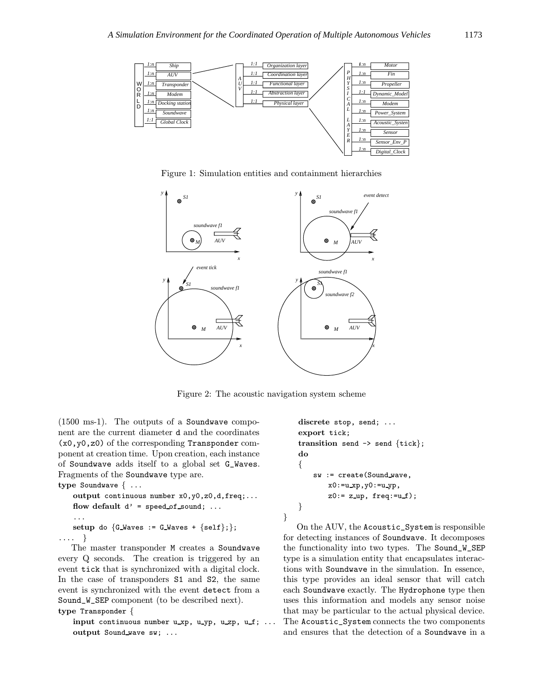

Figure 1: Simulation entities and containment hierarchies



Figure 2: The acoustic navigation system scheme

}

(1500 ms-1). The outputs of a Soundwave component are the current diameter d and the coordinates (x0,y0,z0) of the corresponding Transponder component at creation time. Upon creation, each instance of Soundwave adds itself to a global set G\_Waves. Fragments of the Soundwave type are.

type Soundwave { ...

```
output continuous number x0,y0,z0,d,freq;...
   flow default d' = speed of sound; ...
   ...
   setup do \{G\text{Waves} := G\text{Waves} + \{self\};\};.... }
```
The master transponder M creates a Soundwave every Q seconds. The creation is triggered by an event tick that is synchronized with a digital clock. In the case of transponders S1 and S2, the same event is synchronized with the event detect from a Sound\_W\_SEP component (to be described next).

```
type Transponder {
```
input continuous number u\_xp, u\_yp, u\_zp, u\_f; ... output Sound wave sw; ...

```
discrete stop, send; ...
export tick;
transition send \rightarrow send \{tick\};
do
{
    sw := create(Sound wave,
        x0:=u xp,y0:=u yp,
        z0:=z_up, freq:=u_f);
}
```
On the AUV, the Acoustic\_System is responsible for detecting instances of Soundwave. It decomposes the functionality into two types. The Sound\_W\_SEP type is a simulation entity that encapsulates interactions with Soundwave in the simulation. In essence, this type provides an ideal sensor that will catch each Soundwave exactly. The Hydrophone type then uses this information and models any sensor noise that may be particular to the actual physical device. The Acoustic\_System connects the two components and ensures that the detection of a Soundwave in a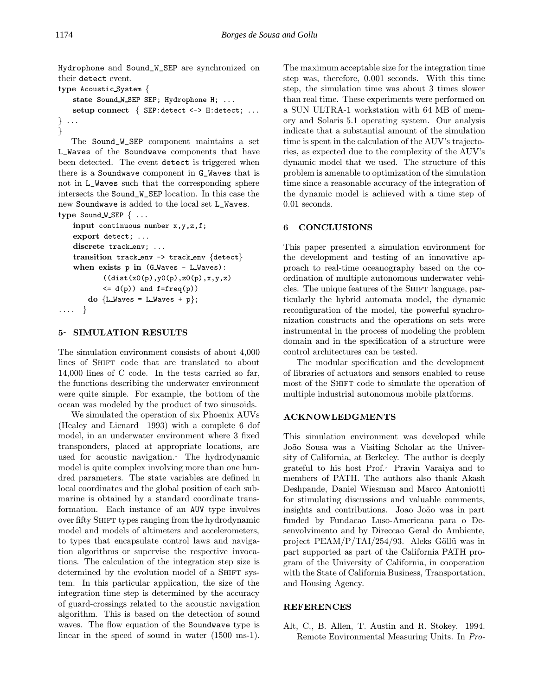Hydrophone and Sound\_W\_SEP are synchronized on their detect event.

```
type Acoustic System {
   state Sound W SEP SEP; Hydrophone H; ...
   setup connect { SEP: detect <-> H: detect; ...
} ...
}
```
The Sound\_W\_SEP component maintains a set L\_Waves of the Soundwave components that have been detected. The event detect is triggered when there is a Soundwave component in G\_Waves that is not in L\_Waves such that the corresponding sphere intersects the Sound\_W\_SEP location. In this case the new Soundwave is added to the local set L\_Waves. type Sound W SEP  $\{\ldots\}$ 

```
input continuous number x,y,z,f;
   export detect; ...
   discrete track env; ...
   transition track env -> track env {detect}
   when exists p in (G_Waves - L_Waves):
           ((dist(x0(p),y0(p),z0(p),x,y,z))\leq d(p)) and f=freq(p))
       do {L.Waves = L.Waves + p};.... }
```
## 5- SIMULATION RESULTS

The simulation environment consists of about 4,000 lines of SHIFT code that are translated to about 14,000 lines of C code. In the tests carried so far, the functions describing the underwater environment were quite simple. For example, the bottom of the ocean was modeled by the product of two sinusoids.

We simulated the operation of six Phoenix AUVs (Healey and Lienard 1993) with a complete 6 dof model, in an underwater environment where 3 fixed transponders, placed at appropriate locations, are used for acoustic navigation. The hydrodynamic model is quite complex involving more than one hundred parameters. The state variables are defined in local coordinates and the global position of each submarine is obtained by a standard coordinate transformation. Each instance of an AUV type involves over fifty SHIFT types ranging from the hydrodynamic model and models of altimeters and accelerometers, to types that encapsulate control laws and navigation algorithms or supervise the respective invocations. The calculation of the integration step size is determined by the evolution model of a SHIFT system. In this particular application, the size of the integration time step is determined by the accuracy of guard-crossings related to the acoustic navigation algorithm. This is based on the detection of sound waves. The flow equation of the Soundwave type is linear in the speed of sound in water (1500 ms-1). The maximum acceptable size for the integration time step was, therefore, 0.001 seconds. With this time step, the simulation time was about 3 times slower than real time. These experiments were performed on a SUN ULTRA-1 workstation with 64 MB of memory and Solaris 5.1 operating system. Our analysis indicate that a substantial amount of the simulation time is spent in the calculation of the AUV's trajectories, as expected due to the complexity of the AUV's dynamic model that we used. The structure of this problem is amenable to optimization of the simulation time since a reasonable accuracy of the integration of the dynamic model is achieved with a time step of 0.01 seconds.

#### 6 CONCLUSIONS

This paper presented a simulation environment for the development and testing of an innovative approach to real-time oceanography based on the coordination of multiple autonomous underwater vehicles. The unique features of the SHIFT language, particularly the hybrid automata model, the dynamic reconfiguration of the model, the powerful synchronization constructs and the operations on sets were instrumental in the process of modeling the problem domain and in the specification of a structure were control architectures can be tested.

The modular specification and the development of libraries of actuators and sensors enabled to reuse most of the SHIFT code to simulate the operation of multiple industrial autonomous mobile platforms.

#### ACKNOWLEDGMENTS

This simulation environment was developed while João Sousa was a Visiting Scholar at the University of California, at Berkeley. The author is deeply grateful to his host Prof. Pravin Varaiya and to members of PATH. The authors also thank Akash Deshpande, Daniel Wiesman and Marco Antoniotti for stimulating discussions and valuable comments, insights and contributions. Joao João was in part funded by Fundacao Luso-Americana para o Desenvolvimento and by Direccao Geral do Ambiente, project  $PEAM/P/TAI/254/93$ . Aleks Göllü was in part supported as part of the California PATH program of the University of California, in cooperation with the State of California Business, Transportation, and Housing Agency.

#### REFERENCES

Alt, C., B. Allen, T. Austin and R. Stokey. 1994. Remote Environmental Measuring Units. In Pro